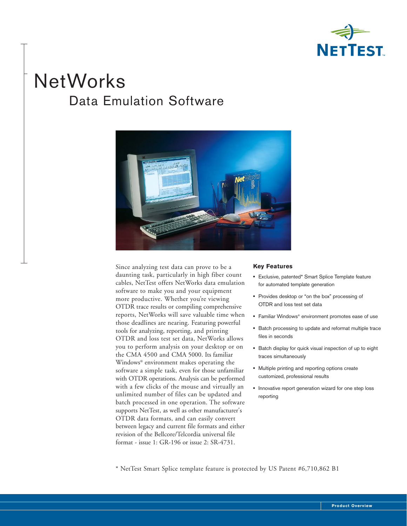

# **NetWorks** Data Emulation Software



Since analyzing test data can prove to be a daunting task, particularly in high fiber count cables, NetTest offers NetWorks data emulation software to make you and your equipment more productive. Whether you're viewing OTDR trace results or compiling comprehensive reports, NetWorks will save valuable time when those deadlines are nearing. Featuring powerful tools for analyzing, reporting, and printing OTDR and loss test set data, NetWorks allows you to perform analysis on your desktop or on the CMA 4500 and CMA 5000. Its familiar Windows® environment makes operating the software a simple task, even for those unfamiliar with OTDR operations. Analysis can be performed with a few clicks of the mouse and virtually an unlimited number of files can be updated and batch processed in one operation. The software supports NetTest, as well as other manufacturer's OTDR data formats, and can easily convert between legacy and current file formats and either revision of the Bellcore/Telcordia universal file format - issue 1: GR-196 or issue 2: SR-4731.

#### **Key Features**

- **•** Exclusive, patented\* Smart Splice Template feature for automated template generation
- **•** Provides desktop or "on the box" processing of OTDR and loss test set data
- **•** Familiar Windows® environment promotes ease of use
- **•** Batch processing to update and reformat multiple trace files in seconds
- **•** Batch display for quick visual inspection of up to eight traces simultaneously
- **•** Multiple printing and reporting options create customized, professional results
- **•** Innovative report generation wizard for one step loss reporting

\* NetTest Smart Splice template feature is protected by US Patent #6,710,862 B1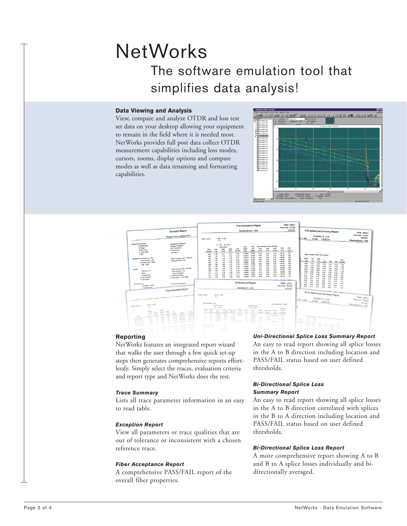# **NetWorks** The software emulation tool that simplifies data analysis!

# **Data Viewing and Analysis**

View, compare and analyze OTDR and loss test set data on your desktop allowing your equipment to remain in the field where it is needed most. NetWorks provides full post data collect OTDR measurement capabilities including loss modes, cursors, zooms, display options and compare modes as well as data renaming and formatting capabilities.





# **Reporting**

NetWorks features an integrated report wizard that walks the user through a few quick set-up steps then generates comprehensive reports effortlessly. Simply select the traces, evaluation criteria and report type and NetWorks does the rest.

### *Trace Summary*

Lists all trace parameter information in an easy to read table.

# *Exception Report*

View all parameters or trace qualities that are out of tolerance or inconsistent with a chosen reference trace.

#### *Fiber Acceptance Report*

A comprehensive PASS/FAIL report of the overall fiber properties.

#### *Uni-Directional Splice Loss Summary Report*

An easy to read report showing all splice losses in the A to B direction including location and PASS/FAIL status based on user defined thresholds.

# *Bi-Directional Splice Loss Summary Report*

An easy to read report showing all splice losses in the A to B direction correlated with splices in the B to A direction including location and PASS/FAIL status based on user defined thresholds.

#### *Bi-Directional Splice Loss Report*

A more comprehensive report showing A to B and B to A splice losses individually and bidirectionally averaged.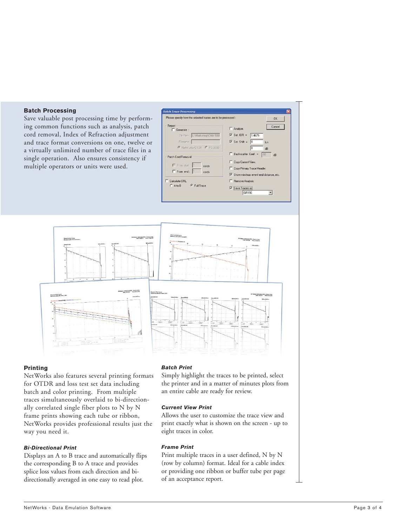# **Batch Processing**

Save valuable post processing time by performing common functions such as analysis, patch cord removal, Index of Refraction adjustment and trace format conversions on one, twelve or a virtually unlimited number of trace files in a single operation. Also ensures consistency if multiple operators or units were used.





#### **Printing**

NetWorks also features several printing formats for OTDR and loss test set data including batch and color printing. From multiple traces simultaneously overlaid to bi-directionally correlated single fiber plots to N by N frame prints showing each tube or ribbon, NetWorks provides professional results just the way you need it.

### *Bi-Directional Print*

Displays an A to B trace and automatically flips the corresponding B to A trace and provides splice loss values from each direction and bidirectionally averaged in one easy to read plot.

#### *Batch Print*

Simply highlight the traces to be printed, select the printer and in a matter of minutes plots from an entire cable are ready for review.

# *Current View Print*

Allows the user to customize the trace view and print exactly what is shown on the screen - up to eight traces in color.

### *Frame Print*

Print multiple traces in a user defined, N by N (row by column) format. Ideal for a cable index or providing one ribbon or buffer tube per page of an acceptance report.